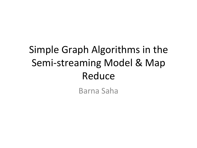## Simple Graph Algorithms in the Semi-streaming Model & Map Reduce

Barna Saha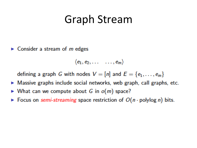#### **Graph Stream**

 $\triangleright$  Consider a stream of *m* edges

$$
\langle e_1, e_2, \ldots \ldots, e_m \rangle
$$

defining a graph G with nodes  $V = [n]$  and  $E = \{e_1, \ldots, e_m\}$ 

- $\triangleright$  Massive graphs include social networks, web graph, call graphs, etc.
- What can we compute about G in  $o(m)$  space?
- ► Focus on semi-streaming space restriction of  $O(n \cdot \text{polylog } n)$  bits.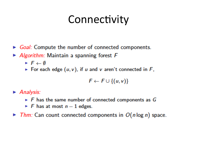## Connectivity

- Goal: Compute the number of connected components.
- Algorithm: Maintain a spanning forest  $F$ 
	- $\blacktriangleright$  F  $\leftarrow \emptyset$
	- For each edge  $(u, v)$ , if u and v aren't connected in F,

$$
F \leftarrow F \cup \{(u,v)\}
$$

 $\blacktriangleright$  Analysis:

- $\triangleright$  F has the same number of connected components as G
- F has at most  $n-1$  edges.
- $\blacktriangleright$  Thm: Can count connected components in  $O(n \log n)$  space.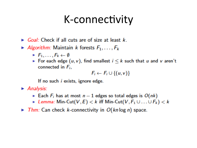#### K-connectivity

- Goal: Check if all cuts are of size at least  $k$ .
- Algorithm: Maintain k forests  $F_1, \ldots, F_k$ 
	- $\blacktriangleright$   $F_1, \ldots, F_k \leftarrow \emptyset$
	- For each edge  $(u, v)$ , find smallest  $i \leq k$  such that u and v aren't connected in  $F_i$ ,

$$
F_i \leftarrow F_i \cup \{(u,v)\}\
$$

If no such *i* exists, ignore edge.

 $\blacktriangleright$  Analysis:

- Each  $F_i$  has at most  $n-1$  edges so total edges is  $O(nk)$
- Example: Min-Cut(V, E)  $k$  iff Min-Cut(V,  $F_1 \cup ... \cup F_k$ )  $k$
- $\blacktriangleright$  Thm: Can check k-connectivity in  $O(kn \log n)$  space.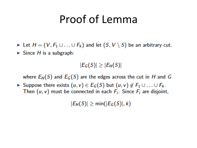## Proof of Lemma

- ► Let  $H = (V, F_1 \cup ... \cup F_k)$  and let  $(S, V \setminus S)$  be an arbitrary cut.
- Since  $H$  is a subgraph:

 $|E_G(S)| \geq |E_H(S)|$ 

where  $E_H(S)$  and  $E_G(S)$  are the edges across the cut in H and G

► Suppose there exists  $(u, v) \in E_G(S)$  but  $(u, v) \notin F_1 \cup ... \cup F_k$ . Then  $(u, v)$  must be connected in each  $F_i$ . Since  $F_i$  are disjoint,

 $|E_H(S)| \geq min(|E_G(S)|, k)$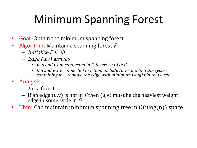## Minimum Spanning Forest

- Goal: Obtain the minimum spanning forest
- Algorithm: Maintain a spanning forest  $F$ 
	- $-$  Initialize  $F \leftarrow \Phi$
	- Edge (u,v) arrives
		- If u and v not connected in  $F$ , insert  $(u, v)$  in  $F$
		- If u and v are connected in  $F$  then include  $(u, v)$  and find the cycle containing it— remove the edge with minimum weight in that cycle
- Analysis
	- $-$  F is a forest
	- If an edge (u,v) is not in F then (u,v) must be the heaviest weight edge in some cycle in <sup>G</sup>
- Thm: Can maintain minimum spanning tree in  $O(n \log(n))$  space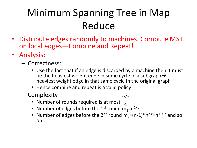## Minimum Spanning Tree in Map Reduce

- Distribute edges randomly to machines. Compute MST on local edges—Combine and Repeat!
- Analysis:
	- Correctness:
		- Use the fact that if an edge is discarded by a machine then it must be the heaviest weight edge in some cycle in a subgraph  $\rightarrow$ heaviest weight edge in that same cycle in the original graph
		- Hence combine and repeat is a valid policy
	- Complexity
		- Number of rounds required is at most  $\lceil \frac{c}{5} \rceil$
		- Number of edges before the 1<sup>st</sup> round  $m_1 = n^{1+c}$
		- Number of edges before the 2<sup>nd</sup> round  $m_2 = (n-1)*n^{c-\epsilon} = n^{1+c-\epsilon}$  and so on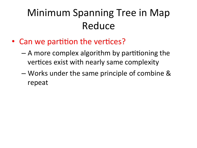#### Minimum Spanning Tree in Map Reduce

- Can we partition the vertices?
	- $-$  A more complex algorithm by partitioning the vertices exist with nearly same complexity
	- Works under the same principle of combine & repeat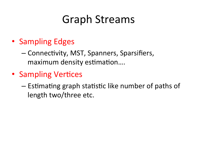## **Graph Streams**

- Sampling Edges
	- Connectivity, MST, Spanners, Sparsifiers, maximum density estimation....
- Sampling Vertices
	- Estimating graph statistic like number of paths of length two/three etc.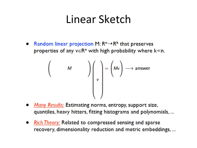#### Linear Sketch

Random linear projection M:  $R^n \rightarrow R^k$  that preserves properties of any  $v \in R^n$  with high probability where  $k \ll n$ .

$$
\begin{pmatrix} & & & \\ & M & & \\ & & v & \\ & & & \end{pmatrix} = \begin{pmatrix} Mv \\ v \end{pmatrix} \longrightarrow \text{answer}
$$

- Many Results: Estimating norms, entropy, support size, quantiles, heavy hitters, fitting histograms and polynomials, ...
- Rich Theory: Related to compressed sensing and sparse recovery, dimensionality reduction and metric embeddings, ...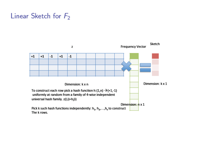#### Linear Sketch for  $F_2$

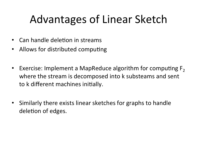# Advantages of Linear Sketch

- Can handle deletion in streams
- Allows for distributed computing
- Exercise: Implement a MapReduce algorithm for computing  $F_2$ where the stream is decomposed into k substeams and sent to k different machines initially.
- Similarly there exists linear sketches for graphs to handle deletion of edges.